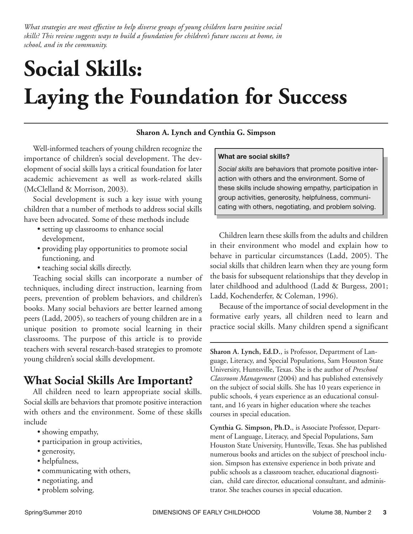*What strategies are most effective to help diverse groups of young children learn positive social skills? This review suggests ways to build a foundation for children's future success at home, in school, and in the community.*

# **Social Skills: Laying the Foundation for Success**

#### **Sharon A. Lynch and Cynthia G. Simpson**

Well-informed teachers of young children recognize the importance of children's social development. The development of social skills lays a critical foundation for later academic achievement as well as work-related skills (McClelland & Morrison, 2003).

Social development is such a key issue with young children that a number of methods to address social skills have been advocated. Some of these methods include

- setting up classrooms to enhance social development,
- providing play opportunities to promote social functioning, and
- teaching social skills directly.

Teaching social skills can incorporate a number of techniques, including direct instruction, learning from peers, prevention of problem behaviors, and children's books. Many social behaviors are better learned among peers (Ladd, 2005), so teachers of young children are in a unique position to promote social learning in their classrooms. The purpose of this article is to provide teachers with several research-based strategies to promote young children's social skills development.

## **What Social Skills Are Important?**

All children need to learn appropriate social skills. Social skills are behaviors that promote positive interaction with others and the environment. Some of these skills include

- showing empathy,
- participation in group activities,
- generosity,
- helpfulness,
- communicating with others,
- negotiating, and
- problem solving.

#### **What are social skills?**

*Social skills* are behaviors that promote positive interaction with others and the environment. Some of these skills include showing empathy, participation in group activities, generosity, helpfulness, communicating with others, negotiating, and problem solving.

Children learn these skills from the adults and children in their environment who model and explain how to behave in particular circumstances (Ladd, 2005). The social skills that children learn when they are young form the basis for subsequent relationships that they develop in later childhood and adulthood (Ladd & Burgess, 2001; Ladd, Kochenderfer, & Coleman, 1996).

Because of the importance of social development in the formative early years, all children need to learn and practice social skills. Many children spend a significant

**Sharon A. Lynch, Ed.D.**, is Professor, Department of Language, Literacy, and Special Populations, Sam Houston State University, Huntsville, Texas. She is the author of *Preschool Classroom Management* (2004) and has published extensively on the subject of social skills. She has 10 years experience in public schools, 4 years experience as an educational consultant, and 16 years in higher education where she teaches courses in special education.

**Cynthia G. Simpson, Ph.D.**, is Associate Professor, Department of Language, Literacy, and Special Populations, Sam Houston State University, Huntsville, Texas. She has published numerous books and articles on the subject of preschool inclusion. Simpson has extensive experience in both private and public schools as a classroom teacher, educational diagnostician, child care director, educational consultant, and administrator. She teaches courses in special education.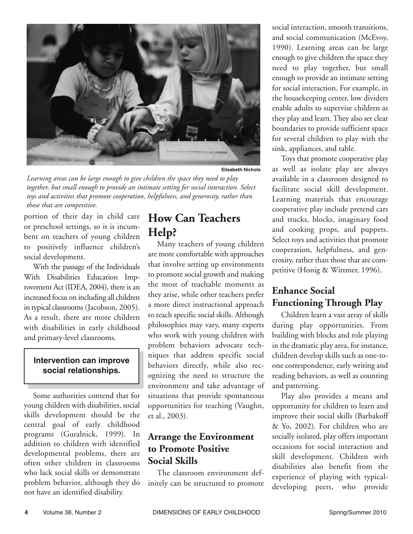

**Elisabeth Nichols**

*Learning areas can be large enough to give children the space they need to play together, but small enough to provide an intimate setting for social interaction. Select toys and activities that promote cooperation, helpfulness, and generosity, rather than those that are competitive.*

portion of their day in child care or preschool settings, so it is incumbent on teachers of young children to positively influence children's social development.

With the passage of the Individuals With Disabilities Education Improvement Act (IDEA, 2004), there is an increased focus on including all children in typical classrooms (Jacobson, 2005). As a result, there are more children with disabilities in early childhood and primary-level classrooms.

#### **Intervention can improve social relationships.**

Some authorities contend that for young children with disabilities, social skills development should be the central goal of early childhood programs (Guralnick, 1999). In addition to children with identified developmental problems, there are often other children in classrooms who lack social skills or demonstrate problem behavior, although they do not have an identified disability.

## **How Can Teachers Help?**

Many teachers of young children are more comfortable with approaches that involve setting up environments to promote social growth and making the most of teachable moments as they arise, while other teachers prefer a more direct instructional approach to teach specific social skills. Although philosophies may vary, many experts who work with young children with problem behaviors advocate techniques that address specific social behaviors directly, while also recognizing the need to structure the environment and take advantage of situations that provide spontaneous opportunities for teaching (Vaughn, et al., 2003).

#### **Arrange the Environment to Promote Positive Social Skills**

The classroom environment definitely can be structured to promote social interaction, smooth transitions, and social communication (McEvoy, 1990). Learning areas can be large enough to give children the space they need to play together, but small enough to provide an intimate setting for social interaction. For example, in the housekeeping center, low dividers enable adults to supervise children as they play and learn. They also set clear boundaries to provide sufficient space for several children to play with the sink, appliances, and table.

Toys that promote cooperative play as well as isolate play are always available in a classroom designed to facilitate social skill development. Learning materials that encourage cooperative play include pretend cars and trucks, blocks, imaginary food and cooking props, and puppets. Select toys and activities that promote cooperation, helpfulness, and generosity, rather than those that are competitive (Honig & Wittmer, 1996).

## **Enhance Social Functioning Through Play**

Children learn a vast array of skills during play opportunities. From building with blocks and role playing in the dramatic play area, for instance, children develop skills such as one-toone correspondence, early writing and reading behaviors, as well as counting and patterning.

Play also provides a means and opportunity for children to learn and improve their social skills (Barbakoff & Yo, 2002). For children who are socially isolated, play offers important occasions for social interaction and skill development. Children with disabilities also benefit from the experience of playing with typicaldeveloping peers, who provide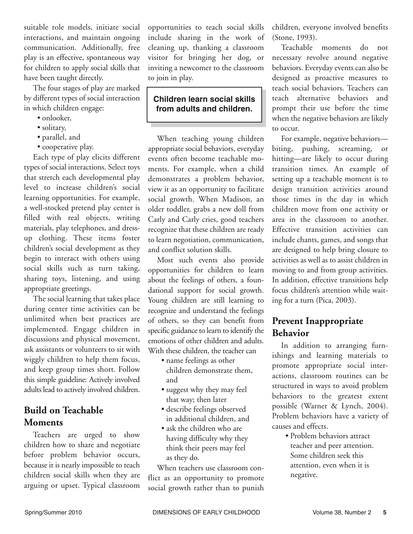suitable role models, initiate social interactions, and maintain ongoing communication. Additionally, free play is an effective, spontaneous way for children to apply social skills that have been taught directly.

The four stages of play are marked by different types of social interaction in which children engage:

- onlooker,
- solitary,
- parallel, and
- cooperative play.

Each type of play elicits different types of social interactions. Select toys that stretch each developmental play level to increase children's social learning opportunities. For example, a well-stocked pretend play center is filled with real objects, writing materials, play telephones, and dressup clothing. These items foster children's social development as they begin to interact with others using social skills such as turn taking, sharing toys, listening, and using appropriate greetings.

The social learning that takes place during center time activities can be unlimited when best practices are implemented. Engage children in discussions and physical movement, ask assistants or volunteers to sit with wiggly children to help them focus, and keep group times short. Follow this simple guideline: Actively involved adults lead to actively involved children.

### **Build on Teachable Moments**

Teachers are urged to show children how to share and negotiate before problem behavior occurs, because it is nearly impossible to teach children social skills when they are arguing or upset. Typical classroom opportunities to teach social skills include sharing in the work of cleaning up, thanking a classroom visitor for bringing her dog, or inviting a newcomer to the classroom to join in play.

#### **Children learn social skills from adults and children.**

When teaching young children appropriate social behaviors, everyday events often become teachable moments. For example, when a child demonstrates a problem behavior, view it as an opportunity to facilitate social growth. When Madison, an older toddler, grabs a new doll from Carly and Carly cries, good teachers recognize that these children are ready to learn negotiation, communication, and conflict solution skills.

Most such events also provide opportunities for children to learn about the feelings of others, a foundational support for social growth. Young children are still learning to recognize and understand the feelings of others, so they can benefit from specific guidance to learn to identify the emotions of other children and adults. With these children, the teacher can

- name feelings as other children demonstrate them, and
- suggest why they may feel that way; then later
- describe feelings observed in additional children, and
- ask the children who are having difficulty why they think their peers may feel as they do.

When teachers use classroom conflict as an opportunity to promote social growth rather than to punish

children, everyone involved benefits (Stone, 1993).

Teachable moments do not necessary revolve around negative behaviors. Everyday events can also be designed as proactive measures to teach social behaviors. Teachers can teach alternative behaviors and prompt their use before the time when the negative behaviors are likely to occur.

For example, negative behaviors biting, pushing, screaming, or hitting—are likely to occur during transition times. An example of setting up a teachable moment is to design transition activities around those times in the day in which children move from one activity or area in the classroom to another. Effective transition activities can include chants, games, and songs that are designed to help bring closure to activities as well as to assist children in moving to and from group activities. In addition, effective transitions help focus children's attention while waiting for a turn (Pica, 2003).

### **Prevent Inappropriate Behavior**

In addition to arranging furnishings and learning materials to promote appropriate social interactions, classroom routines can be structured in ways to avoid problem behaviors to the greatest extent possible (Warner & Lynch, 2004). Problem behaviors have a variety of causes and effects.

> • Problem behaviors attract teacher and peer attention. Some children seek this attention, even when it is negative.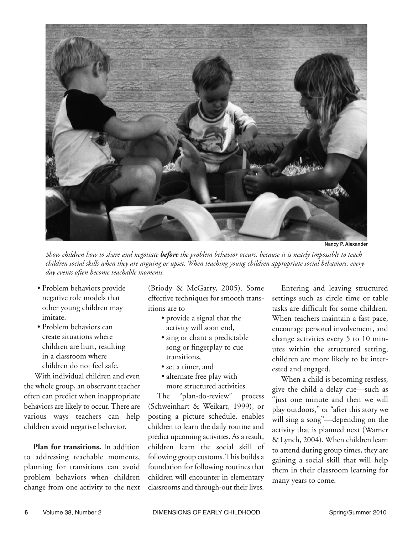

**Nancy P. Alexander**

*Show children how to share and negotiate before the problem behavior occurs, because it is nearly impossible to teach children social skills when they are arguing or upset. When teaching young children appropriate social behaviors, everyday events often become teachable moments.*

- Problem behaviors provide negative role models that other young children may imitate.
- Problem behaviors can create situations where children are hurt, resulting in a classroom where children do not feel safe.

With individual children and even the whole group, an observant teacher often can predict when inappropriate behaviors are likely to occur. There are various ways teachers can help children avoid negative behavior.

**Plan for transitions.** In addition to addressing teachable moments, planning for transitions can avoid problem behaviors when children change from one activity to the next

(Briody & McGarry, 2005). Some effective techniques for smooth transitions are to

- provide a signal that the activity will soon end,
- sing or chant a predictable song or fingerplay to cue transitions,
- set a timer, and
- alternate free play with more structured activities.

The "plan-do-review" process (Schweinhart & Weikart, 1999), or posting a picture schedule, enables children to learn the daily routine and predict upcoming activities. As a result, children learn the social skill of following group customs. This builds a foundation for following routines that children will encounter in elementary classrooms and through-out their lives.

Entering and leaving structured settings such as circle time or table tasks are difficult for some children. When teachers maintain a fast pace, encourage personal involvement, and change activities every 5 to 10 minutes within the structured setting, children are more likely to be interested and engaged.

When a child is becoming restless, give the child a delay cue—such as "just one minute and then we will play outdoors," or "after this story we will sing a song"—depending on the activity that is planned next (Warner & Lynch, 2004). When children learn to attend during group times, they are gaining a social skill that will help them in their classroom learning for many years to come.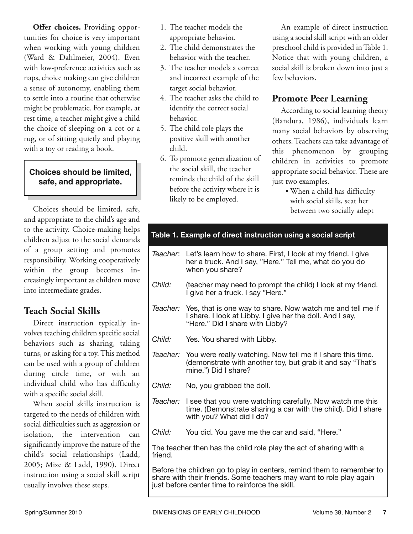**Offer choices.** Providing opportunities for choice is very important when working with young children (Ward & Dahlmeier, 2004). Even with low-preference activities such as naps, choice making can give children a sense of autonomy, enabling them to settle into a routine that otherwise might be problematic. For example, at rest time, a teacher might give a child the choice of sleeping on a cot or a rug, or of sitting quietly and playing with a toy or reading a book.

#### **Choices should be limited, safe, and appropriate.**

Choices should be limited, safe, and appropriate to the child's age and to the activity. Choice-making helps children adjust to the social demands of a group setting and promotes responsibility. Working cooperatively within the group becomes increasingly important as children move into intermediate grades.

#### **Teach Social Skills**

Direct instruction typically involves teaching children specific social behaviors such as sharing, taking turns, or asking for a toy. This method can be used with a group of children during circle time, or with an individual child who has difficulty with a specific social skill.

When social skills instruction is targeted to the needs of children with social difficulties such as aggression or isolation, the intervention can significantly improve the nature of the child's social relationships (Ladd, 2005; Mize & Ladd, 1990). Direct instruction using a social skill script usually involves these steps.

- 1. The teacher models the appropriate behavior.
- 2. The child demonstrates the behavior with the teacher.
- 3. The teacher models a correct and incorrect example of the target social behavior.
- 4. The teacher asks the child to identify the correct social behavior.
- 5. The child role plays the positive skill with another child.
- 6. To promote generalization of the social skill, the teacher reminds the child of the skill before the activity where it is likely to be employed.

An example of direct instruction using a social skill script with an older preschool child is provided in Table 1. Notice that with young children, a social skill is broken down into just a few behaviors.

#### **Promote Peer Learning**

According to social learning theory (Bandura, 1986), individuals learn many social behaviors by observing others. Teachers can take advantage of this phenomenon by grouping children in activities to promote appropriate social behavior. These are just two examples.

• When a child has difficulty with social skills, seat her between two socially adept

|                                                                                                                                                                                                                                                                                  |          | Table 1. Example of direct instruction using a social script                                                                                               |  |
|----------------------------------------------------------------------------------------------------------------------------------------------------------------------------------------------------------------------------------------------------------------------------------|----------|------------------------------------------------------------------------------------------------------------------------------------------------------------|--|
|                                                                                                                                                                                                                                                                                  | Teacher: | Let's learn how to share. First, I look at my friend. I give<br>her a truck. And I say, "Here." Tell me, what do you do<br>when you share?                 |  |
|                                                                                                                                                                                                                                                                                  | Child:   | (teacher may need to prompt the child) I look at my friend.<br>I give her a truck. I say "Here."                                                           |  |
|                                                                                                                                                                                                                                                                                  | Teacher: | Yes, that is one way to share. Now watch me and tell me if<br>I share. I look at Libby. I give her the doll. And I say,<br>"Here." Did I share with Libby? |  |
|                                                                                                                                                                                                                                                                                  | Child:   | Yes. You shared with Libby.                                                                                                                                |  |
|                                                                                                                                                                                                                                                                                  | Teacher: | You were really watching. Now tell me if I share this time.<br>(demonstrate with another toy, but grab it and say "That's<br>mine.") Did I share?          |  |
|                                                                                                                                                                                                                                                                                  | Child:   | No, you grabbed the doll.                                                                                                                                  |  |
|                                                                                                                                                                                                                                                                                  | Teacher: | I see that you were watching carefully. Now watch me this<br>time. (Demonstrate sharing a car with the child). Did I share<br>with you? What did I do?     |  |
|                                                                                                                                                                                                                                                                                  | Child:   | You did. You gave me the car and said, "Here."                                                                                                             |  |
| The teacher then has the child role play the act of sharing with a<br>friend.<br>Before the children go to play in centers, remind them to remember to<br>share with their friends. Some teachers may want to role play again<br>just before center time to reinforce the skill. |          |                                                                                                                                                            |  |
|                                                                                                                                                                                                                                                                                  |          |                                                                                                                                                            |  |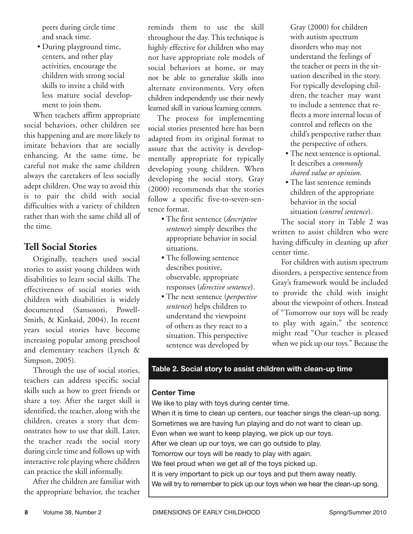peers during circle time and snack time.

• During playground time, centers, and other play activities, encourage the children with strong social skills to invite a child with less mature social development to join them.

When teachers affirm appropriate social behaviors, other children see this happening and are more likely to imitate behaviors that are socially enhancing. At the same time, be careful not make the same children always the caretakers of less socially adept children. One way to avoid this is to pair the child with social difficulties with a variety of children rather than with the same child all of the time.

#### **Tell Social Stories**

Originally, teachers used social stories to assist young children with disabilities to learn social skills. The effectiveness of social stories with children with disabilities is widely documented (Sansosoti, Powell-Smith, & Kinkaid, 2004). In recent years social stories have become increasing popular among preschool and elementary teachers (Lynch & Simpson, 2005).

Through the use of social stories, teachers can address specific social skills such as how to greet friends or share a toy. After the target skill is identified, the teacher, along with the children, creates a story that demonstrates how to use that skill. Later, the teacher reads the social story during circle time and follows up with interactive role playing where children can practice the skill informally.

After the children are familiar with the appropriate behavior, the teacher reminds them to use the skill throughout the day. This technique is highly effective for children who may not have appropriate role models of social behaviors at home, or may not be able to generalize skills into alternate environments. Very often children independently use their newly learned skill in various learning centers.

The process for implementing social stories presented here has been adapted from its original format to assure that the activity is developmentally appropriate for typically developing young children. When developing the social story, Gray (2000) recommends that the stories follow a specific five-to-seven-sentence format.

- The first sentence (*descriptive sentence*) simply describes the appropriate behavior in social situations.
- The following sentence describes positive, observable, appropriate responses (*directive sentence*).
- The next sentence (*perspective sentence*) helps children to understand the viewpoint of others as they react to a situation. This perspective sentence was developed by

Gray (2000) for children with autism spectrum disorders who may not understand the feelings of the teacher or peers in the situation described in the story. For typically developing children, the teacher may want to include a sentence that reflects a more internal locus of control and reflects on the child's perspective rather than the perspective of others.

- The next sentence is optional. It describes a *commonly shared value or opinion*.
- The last sentence reminds children of the appropriate behavior in the social situation (*control sentence*).

The social story in Table 2 was written to assist children who were having difficulty in cleaning up after center time.

For children with autism spectrum disorders, a perspective sentence from Gray's framework would be included to provide the child with insight about the viewpoint of others. Instead of "Tomorrow our toys will be ready to play with again," the sentence might read "Our teacher is pleased when we pick up our toys." Because the

#### **Table 2. Social story to assist children with clean-up time**

#### **Center Time**

We like to play with toys during center time. When it is time to clean up centers, our teacher sings the clean-up song. Sometimes we are having fun playing and do not want to clean up. Even when we want to keep playing, we pick up our toys. After we clean up our toys, we can go outside to play. Tomorrow our toys will be ready to play with again. We feel proud when we get all of the toys picked up. It is very important to pick up our toys and put them away neatly. We will try to remember to pick up our toys when we hear the clean-up song.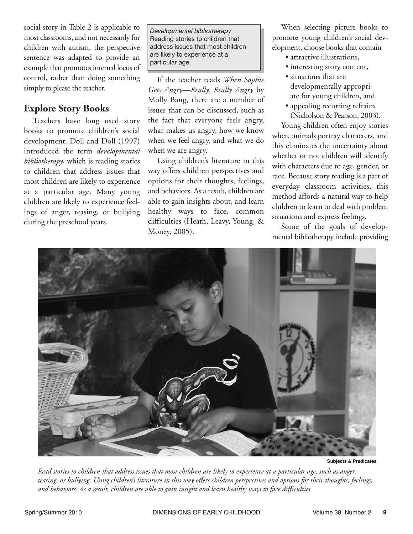social story in Table 2 is applicable to most classrooms, and not necessarily for children with autism, the perspective sentence was adapted to provide an example that promotes internal locus of control, rather than doing something simply to please the teacher.

#### **Explore Story Books**

Teachers have long used story books to promote children's social development. Doll and Doll (1997) introduced the term *developmental bibliotherapy*, which is reading stories to children that address issues that most children are likely to experience at a particular age. Many young children are likely to experience feelings of anger, teasing, or bullying during the preschool years.

*Developmental bibliotherapy* Reading stories to children that address issues that most children are likely to experience at a particular age.

If the teacher reads *When Sophie Gets Angry—Really, Really Angry* by Molly Bang, there are a number of issues that can be discussed, such as the fact that everyone feels angry, what makes us angry, how we know when we feel angry, and what we do when we are angry.

Using children's literature in this way offers children perspectives and options for their thoughts, feelings, and behaviors. As a result, children are able to gain insights about, and learn healthy ways to face, common difficulties (Heath, Leavy, Young, & Money, 2005).

When selecting picture books to promote young children's social development, choose books that contain

- attractive illustrations,
- interesting story content,
- situations that are developmentally appropriate for young children, and
- appealing recurring refrains (Nicholson & Pearson, 2003).

Young children often enjoy stories where animals portray characters, and this eliminates the uncertainty about whether or not children will identify with characters due to age, gender, or race. Because story reading is a part of everyday classroom activities, this method affords a natural way to help children to learn to deal with problem situations and express feelings.

Some of the goals of developmental bibliotherapy include providing



**Subjects & Predicates**

*Read stories to children that address issues that most children are likely to experience at a particular age, such as anger, teasing, or bullying. Using children's literature in this way offers children perspectives and options for their thoughts, feelings, and behaviors. As a result, children are able to gain insight and learn healthy ways to face difficulties.*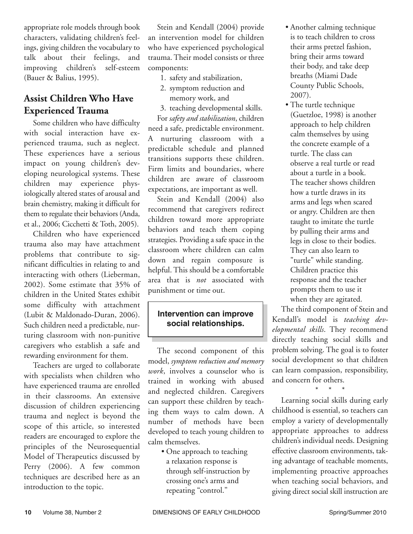appropriate role models through book characters, validating children's feelings, giving children the vocabulary to talk about their feelings, and improving children's self-esteem (Bauer & Balius, 1995).

### **Assist Children Who Have Experienced Trauma**

Some children who have difficulty with social interaction have experienced trauma, such as neglect. These experiences have a serious impact on young children's developing neurological systems. These children may experience physiologically altered states of arousal and brain chemistry, making it difficult for them to regulate their behaviors (Anda, et al., 2006; Cicchetti & Toth, 2005).

Children who have experienced trauma also may have attachment problems that contribute to significant difficulties in relating to and interacting with others (Lieberman, 2002). Some estimate that 35% of children in the United States exhibit some difficulty with attachment (Lubit & Maldonado-Duran, 2006). Such children need a predictable, nurturing classroom with non-punitive caregivers who establish a safe and rewarding environment for them.

Teachers are urged to collaborate with specialists when children who have experienced trauma are enrolled in their classrooms. An extensive discussion of children experiencing trauma and neglect is beyond the scope of this article, so interested readers are encouraged to explore the principles of the Neurosequential Model of Therapeutics discussed by Perry (2006). A few common techniques are described here as an introduction to the topic.

Stein and Kendall (2004) provide an intervention model for children who have experienced psychological trauma. Their model consists or three components:

- 1. safety and stabilization,
- 2. symptom reduction and memory work, and

3. teaching developmental skills. For *safety and stabilization*, children need a safe, predictable environment. A nurturing classroom with a

predictable schedule and planned transitions supports these children. Firm limits and boundaries, where children are aware of classroom expectations, are important as well.

Stein and Kendall (2004) also recommend that caregivers redirect children toward more appropriate behaviors and teach them coping strategies. Providing a safe space in the classroom where children can calm down and regain composure is helpful. This should be a comfortable area that is *not* associated with punishment or time out.

#### **Intervention can improve social relationships.**

The second component of this model, *symptom reduction and memory work*, involves a counselor who is trained in working with abused and neglected children. Caregivers can support these children by teaching them ways to calm down. A number of methods have been developed to teach young children to calm themselves.

• One approach to teaching a relaxation response is through self-instruction by crossing one's arms and repeating "control."

- Another calming technique is to teach children to cross their arms pretzel fashion, bring their arms toward their body, and take deep breaths (Miami Dade County Public Schools, 2007).
- The turtle technique (Guetzloe, 1998) is another approach to help children calm themselves by using the concrete example of a turtle. The class can observe a real turtle or read about a turtle in a book. The teacher shows children how a turtle draws in its arms and legs when scared or angry. Children are then taught to imitate the turtle by pulling their arms and legs in close to their bodies. They can also learn to "turtle" while standing. Children practice this response and the teacher prompts them to use it when they are agitated.

The third component of Stein and Kendall's model is *teaching developmental skills*. They recommend directly teaching social skills and problem solving. The goal is to foster social development so that children can learn compassion, responsibility, and concern for others.

\* \* \* Learning social skills during early childhood is essential, so teachers can employ a variety of developmentally appropriate approaches to address children's individual needs. Designing effective classroom environments, taking advantage of teachable moments, implementing proactive approaches when teaching social behaviors, and giving direct social skill instruction are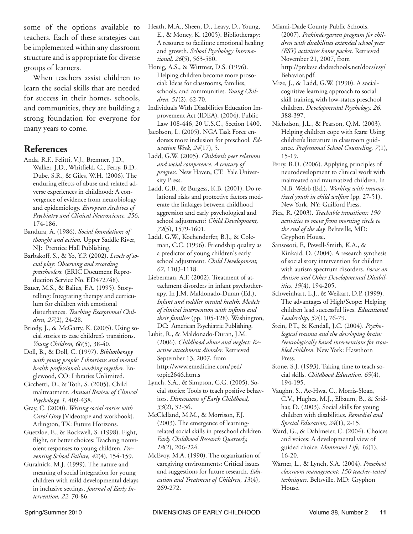some of the options available to teachers. Each of these strategies can be implemented within any classroom structure and is appropriate for diverse groups of learners.

When teachers assist children to learn the social skills that are needed for success in their homes, schools, and communities, they are building a strong foundation for everyone for many years to come.

#### **References**

- Anda, R.F., Felitti, V.J., Bremner, J.D., Walker, J.D., Whitfield, C., Perry, B.D., Dube, S.R., & Giles, W.H. (2006). The enduring effects of abuse and related adverse experiences in childhood: A convergence of evidence from neurobiology and epidemiology. *European Archives of Psychiatry and Clinical Neuroscience, 256*, 174-186.
- Bandura, A. (1986). *Social foundations of thought and action.* Upper Saddle River, NJ: Prentice Hall Publishing.
- Barbakoff, S., & Yo, Y.P. (2002). *Levels of social play: Observing and recording preschoolers.* (ERIC Document Reproduction Service No. ED472748).
- Bauer, M.S., & Balius, F.A. (1995). Storytelling: Integrating therapy and curriculum for children with emotional disturbances. *Teaching Exceptional Children, 27*(2), 24-28.
- Briody, J., & McGarry, K. (2005). Using social stories to ease children's transitions. *Young Children, 60*(5), 38-40.
- Doll, B., & Doll, C. (1997). *Bibliotherapy with young people: Librarians and mental health professionals working together.* Englewood, CO: Libraries Unlimited.
- Cicchetti, D., & Toth, S. (2005). Child maltreatment. *Annual Review of Clinical Psychology, 1*, 409-438.
- Gray, C. (2000). *Writing social stories with Carol Gray* [Videotape and workbook]. Arlington, TX: Future Horizons.
- Guetzloe, E., & Rockwell, S. (1998). Fight, flight, or better choices: Teaching nonviolent responses to young children. *Preventing School Failure, 42*(4), 154-159.
- Guralnick, M.J. (1999). The nature and meaning of social integration for young children with mild developmental delays in inclusive settings. *Journal of Early Intervention, 22,* 70-86.
- Heath, M.A., Sheen, D., Leavy, D., Young, E., & Money, K. (2005). Bibliotherapy: A resource to facilitate emotional healing and growth. *School Psychology International, 26*(5), 563-580.
- Honig, A.S., & Wittmer, D.S. (1996). Helping children become more prosocial: Ideas for classrooms, families, schools, and communities. *Young Children, 51*(2), 62-70.
- Individuals With Disabilities Education Improvement Act (IDEA). (2004). Public Law 108-446, 20 U.S.C., Section 1400.
- Jacobson, L. (2005). NGA Task Force endorses more inclusion for preschool. *Education Week, 24*(17), 5.
- Ladd, G.W. (2005). *Children's peer relations and social competence: A century of progress.* New Haven, CT: Yale University Press.
- Ladd, G.B., & Burgess, K.B. (2001). Do relational risks and protective factors moderate the linkages between childhood aggression and early psychological and school adjustment? *Child Development, 72*(5), 1579-1601.
- Ladd, G.W., Kochenderfer, B.J., & Coleman, C.C. (1996). Friendship quality as a predictor of young children's early school adjustment. *Child Development, 67*, 1103-1118.
- Lieberman, A.F. (2002). Treatment of attachment disorders in infant psychotherapy. In J.M. Maldonado-Duran (Ed.), *Infant and toddler mental health: Models of clinical intervention with infants and their families* (pp. 105-128). Washington, DC: American Psychiatric Publishing.
- Lubit, R., & Maldonado-Duran, J.M. (2006). *Childhood abuse and neglect: Reactive attachment disorder.* Retrieved September 13, 2007, from http://www.emedicine.com/ped/ topic2646.htm.s
- Lynch, S.A., & Simpson, C.G. (2005). Social stories: Tools to teach positive behaviors. *Dimensions of Early Childhood, 33*(2), 32-36.
- McClelland, M.M., & Morrison, F.J. (2003). The emergence of learningrelated social skills in preschool children. *Early Childhood Research Quarterly, 18*(2), 206-224.
- McEvoy, M.A. (1990). The organization of caregiving environments: Critical issues and suggestions for future research. *Education and Treatment of Children, 13*(4), 269-272.
- Miami-Dade County Public Schools. (2007). *Prekindergarten program for children with disabilities extended school year (ESY) activities home packet.* Retrieved November 21, 2007, from http://prekese.dadeschools.net/docs/esy/ Behavior.pdf.
- Mize, J., & Ladd, G.W. (1990). A socialcognitive learning approach to social skill training with low-status preschool children. *Developmental Psychology, 26,* 388-397.
- Nicholson, J.L., & Pearson, Q.M. (2003). Helping children cope with fears: Using children's literature in classroom guidance. *Professional School Counseling, 7*(1), 15-19.
- Perry, B.D. (2006). Applying principles of neurodevelopment to clinical work with maltreated and traumatized children. In N.B. Webb (Ed.), *Working with traumatized youth in child welfare* (pp. 27-51). New York, NY: Guilford Press.
- Pica, R. (2003). *Teachable transitions: 190 activities to move from morning circle to the end of the day.* Beltsville, MD: Gryphon House.
- Sansosoti, F., Powell-Smith, K.A., & Kinkaid, D. (2004). A research synthesis of social story intervention for children with autism spectrum disorders. *Focus on Autism and Other Developmental Disabilities, 19*(4), 194-205.
- Schweinhart, L.J., & Weikart, D.P. (1999). The advantages of High/Scope: Helping children lead successful lives. *Educational Leadership, 57*(1), 76-79.
- Stein, P.T., & Kendall, J.C. (2004). *Psychological trauma and the developing brain: Neurologically based interventions for troubled children.* New York: Hawthorn Press.
- Stone, S.J. (1993). Taking time to teach social skills. *Childhood Education, 69*(4), 194-195.
- Vaughn, S., Ae-Hwa, C., Morris-Sloan, C.V., Hughes, M.J., Elbaum, B., & Sridhar, D. (2003). Social skills for young children with disabilities. *Remedial and Special Education, 24*(1), 2-15.
- Ward, G., & Dahlmeier, C. (2004). Choices and voices: A developmental view of guided choice. *Montessori Life, 16*(1), 16-20.
- Warner, L., & Lynch, S.A. (2004). *Preschool classroom management: 150 teacher-tested techniques.* Beltsville, MD: Gryphon House.